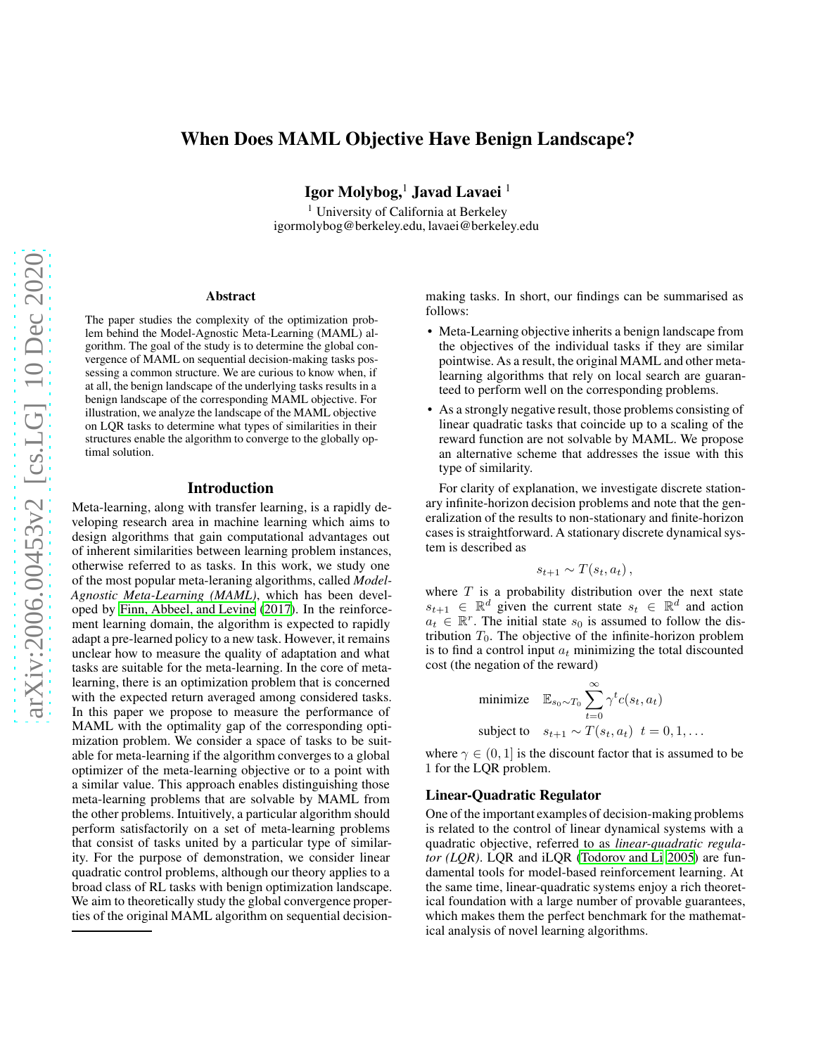# When Does MAML Objective Have Benign Landscape?

Igor Molybog,<sup>1</sup> Javad Lavaei<sup>1</sup>

<sup>1</sup> University of California at Berkeley igormolybog@berkeley.edu, lavaei@berkeley.edu

#### Abstract

The paper studies the complexity of the optimization problem behind the Model-Agnostic Meta-Learning (MAML) algorithm. The goal of the study is to determine the global convergence of MAML on sequential decision-making tasks possessing a common structure. We are curious to know when, if at all, the benign landscape of the underlying tasks results in a benign landscape of the corresponding MAML objective. For illustration, we analyze the landscape of the MAML objective on LQR tasks to determine what types of similarities in their structures enable the algorithm to converge to the globally optimal solution.

#### Introduction

Meta-learning, along with transfer learning, is a rapidly developing research area in machine learning which aims to design algorithms that gain computational advantages out of inherent similarities between learning problem instances, otherwise referred to as tasks. In this work, we study one of the most popular meta-leraning algorithms, called *Model-Agnostic Meta-Learning (MAML)*, which has been developed by [Finn, Abbeel, and Levine \(2017\)](#page-7-0). In the reinforcement learning domain, the algorithm is expected to rapidly adapt a pre-learned policy to a new task. However, it remains unclear how to measure the quality of adaptation and what tasks are suitable for the meta-learning. In the core of metalearning, there is an optimization problem that is concerned with the expected return averaged among considered tasks. In this paper we propose to measure the performance of MAML with the optimality gap of the corresponding optimization problem. We consider a space of tasks to be suitable for meta-learning if the algorithm converges to a global optimizer of the meta-learning objective or to a point with a similar value. This approach enables distinguishing those meta-learning problems that are solvable by MAML from the other problems. Intuitively, a particular algorithm should perform satisfactorily on a set of meta-learning problems that consist of tasks united by a particular type of similarity. For the purpose of demonstration, we consider linear quadratic control problems, although our theory applies to a broad class of RL tasks with benign optimization landscape. We aim to theoretically study the global convergence properties of the original MAML algorithm on sequential decisionmaking tasks. In short, our findings can be summarised as follows:

- Meta-Learning objective inherits a benign landscape from the objectives of the individual tasks if they are similar pointwise. As a result, the original MAML and other metalearning algorithms that rely on local search are guaranteed to perform well on the corresponding problems.
- As a strongly negative result, those problems consisting of linear quadratic tasks that coincide up to a scaling of the reward function are not solvable by MAML. We propose an alternative scheme that addresses the issue with this type of similarity.

For clarity of explanation, we investigate discrete stationary infinite-horizon decision problems and note that the generalization of the results to non-stationary and finite-horizon cases is straightforward. A stationary discrete dynamicalsystem is described as

$$
s_{t+1} \sim T(s_t, a_t),
$$

where  $T$  is a probability distribution over the next state  $s_{t+1} \in \mathbb{R}^d$  given the current state  $s_t \in \mathbb{R}^d$  and action  $a_t \in \mathbb{R}^r$ . The initial state  $s_0$  is assumed to follow the distribution  $T_0$ . The objective of the infinite-horizon problem is to find a control input  $a_t$  minimizing the total discounted cost (the negation of the reward)

minimize 
$$
\mathbb{E}_{s_0 \sim T_0} \sum_{t=0}^{\infty} \gamma^t c(s_t, a_t)
$$
  
subject to  $s_{t+1} \sim T(s_t, a_t) \quad t = 0, 1, ...$ 

where  $\gamma \in (0, 1]$  is the discount factor that is assumed to be 1 for the LQR problem.

#### Linear-Quadratic Regulator

One of the important examples of decision-making problems is related to the control of linear dynamical systems with a quadratic objective, referred to as *linear-quadratic regulator (LQR)*. LQR and iLQR [\(Todorov and Li 2005\)](#page-7-1) are fundamental tools for model-based reinforcement learning. At the same time, linear-quadratic systems enjoy a rich theoretical foundation with a large number of provable guarantees, which makes them the perfect benchmark for the mathematical analysis of novel learning algorithms.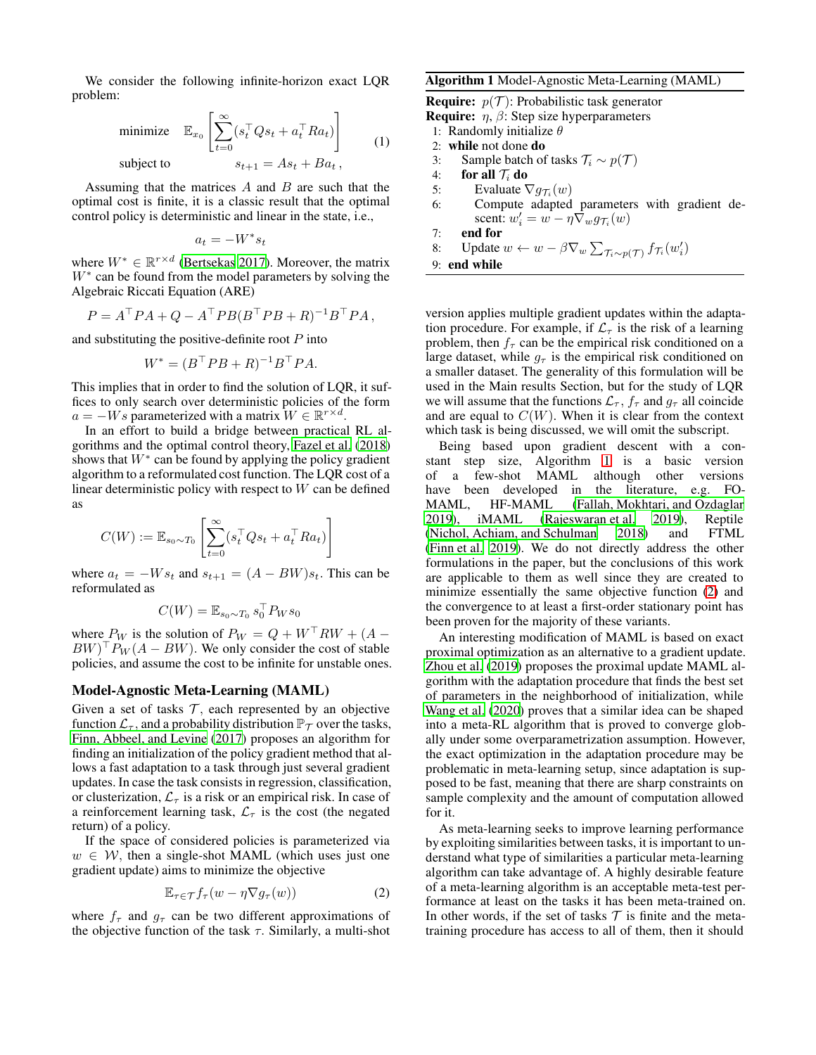We consider the following infinite-horizon exact LQR problem:

<span id="page-1-2"></span>minimize 
$$
\mathbb{E}_{x_0} \left[ \sum_{t=0}^{\infty} (s_t^\top Q s_t + a_t^\top R a_t) \right]
$$
 (1)  
subject to  $s_{t+1} = A s_t + B a_t$ ,

Assuming that the matrices  $A$  and  $B$  are such that the optimal cost is finite, it is a classic result that the optimal control policy is deterministic and linear in the state, i.e.,

$$
a_t = -W^*s_t
$$

where  $W^* \in \mathbb{R}^{r \times d}$  [\(Bertsekas 2017](#page-6-0)). Moreover, the matrix W<sup>∗</sup> can be found from the model parameters by solving the Algebraic Riccati Equation (ARE)

$$
P = A^{\top} P A + Q - A^{\top} P B (B^{\top} P B + R)^{-1} B^{\top} P A,
$$

and substituting the positive-definite root  $P$  into

$$
W^* = (B^{\top} P B + R)^{-1} B^{\top} P A.
$$

This implies that in order to find the solution of LQR, it suffices to only search over deterministic policies of the form  $a = -Ws$  parameterized with a matrix  $W \in \mathbb{R}^{r \times d}$ .

In an effort to build a bridge between practical RL algorithms and the optimal control theory, [Fazel et al. \(2018\)](#page-7-2) shows that  $W^*$  can be found by applying the policy gradient algorithm to a reformulated cost function. The LQR cost of a linear deterministic policy with respect to  $W$  can be defined as

$$
C(W) := \mathbb{E}_{s_0 \sim T_0} \left[ \sum_{t=0}^{\infty} (s_t^\top Q s_t + a_t^\top R a_t) \right]
$$

where  $a_t = -W s_t$  and  $s_{t+1} = (A - BW) s_t$ . This can be reformulated as

$$
C(W) = \mathbb{E}_{s_0 \sim T_0} s_0^\top P_W s_0
$$

where  $P_W$  is the solution of  $P_W = Q + W^{\top} R W + (A BW$ <sup>T</sup> $P_W(A - BW)$ . We only consider the cost of stable policies, and assume the cost to be infinite for unstable ones.

#### Model-Agnostic Meta-Learning (MAML)

Given a set of tasks  $\mathcal T$ , each represented by an objective function  $\mathcal{L}_{\tau}$ , and a probability distribution  $\mathbb{P}_{\tau}$  over the tasks, [Finn, Abbeel, and Levine](#page-7-0) [\(2017\)](#page-7-0) proposes an algorithm for finding an initialization of the policy gradient method that allows a fast adaptation to a task through just several gradient updates. In case the task consists in regression, classification, or clusterization,  $\mathcal{L}_{\tau}$  is a risk or an empirical risk. In case of a reinforcement learning task,  $\mathcal{L}_{\tau}$  is the cost (the negated return) of a policy.

If the space of considered policies is parameterized via  $w \in W$ , then a single-shot MAML (which uses just one gradient update) aims to minimize the objective

$$
\mathbb{E}_{\tau \in \mathcal{T}} f_{\tau}(w - \eta \nabla g_{\tau}(w)) \tag{2}
$$

where  $f_{\tau}$  and  $g_{\tau}$  can be two different approximations of the objective function of the task  $\tau$ . Similarly, a multi-shot

### <span id="page-1-0"></span>Algorithm 1 Model-Agnostic Meta-Learning (MAML)

**Require:**  $p(\mathcal{T})$ : Probabilistic task generator **Require:**  $\eta$ ,  $\beta$ : Step size hyperparameters 1: Randomly initialize  $\theta$ 2: while not done do 3: Sample batch of tasks  $\mathcal{T}_i$  ∼  $p(\mathcal{T})$ 4: **for all**  $\mathcal{T}_i$  **do**<br>5: **Evaluate** 5: Evaluate  $\nabla g_{\mathcal{T}_i}(w)$ 6: Compute adapted parameters with gradient descent:  $w'_i = w - \eta \nabla_w g_{\mathcal{T}_i}(w)$ 7: end for 8: Update  $w \leftarrow w - \beta \nabla_w \sum_{\mathcal{T}_i \sim p(\mathcal{T})} f_{\mathcal{T}_i}(w'_i)$ 9: end while

version applies multiple gradient updates within the adaptation procedure. For example, if  $\mathcal{L}_{\tau}$  is the risk of a learning problem, then  $f_\tau$  can be the empirical risk conditioned on a large dataset, while  $g_{\tau}$  is the empirical risk conditioned on a smaller dataset. The generality of this formulation will be used in the Main results Section, but for the study of LQR we will assume that the functions  $\mathcal{L}_{\tau}$ ,  $f_{\tau}$  and  $g_{\tau}$  all coincide and are equal to  $C(W)$ . When it is clear from the context which task is being discussed, we will omit the subscript.

Being based upon gradient descent with a constant step size, Algorithm [1](#page-1-0) is a basic version of a few-shot MAML although other versions have been developed in the literature, e.g. FO-MAML, HF-MAML [\(Fallah, Mokhtari, and Ozdaglar](#page-6-1) [2019\)](#page-6-1), iMAML [\(Rajeswaran et al. 2019](#page-7-3)), Reptile [\(Nichol, Achiam, and Schulman 2018](#page-7-4)) and FTML [\(Finn et al. 2019\)](#page-7-5). We do not directly address the other formulations in the paper, but the conclusions of this work are applicable to them as well since they are created to minimize essentially the same objective function [\(2\)](#page-1-1) and the convergence to at least a first-order stationary point has been proven for the majority of these variants.

An interesting modification of MAML is based on exact proximal optimization as an alternative to a gradient update. [Zhou et al.](#page-7-6) [\(2019\)](#page-7-6) proposes the proximal update MAML algorithm with the adaptation procedure that finds the best set of parameters in the neighborhood of initialization, while [Wang et al. \(2020](#page-7-7)) proves that a similar idea can be shaped into a meta-RL algorithm that is proved to converge globally under some overparametrization assumption. However, the exact optimization in the adaptation procedure may be problematic in meta-learning setup, since adaptation is supposed to be fast, meaning that there are sharp constraints on sample complexity and the amount of computation allowed for it.

<span id="page-1-1"></span>As meta-learning seeks to improve learning performance by exploiting similarities between tasks, it is important to understand what type of similarities a particular meta-learning algorithm can take advantage of. A highly desirable feature of a meta-learning algorithm is an acceptable meta-test performance at least on the tasks it has been meta-trained on. In other words, if the set of tasks  $T$  is finite and the metatraining procedure has access to all of them, then it should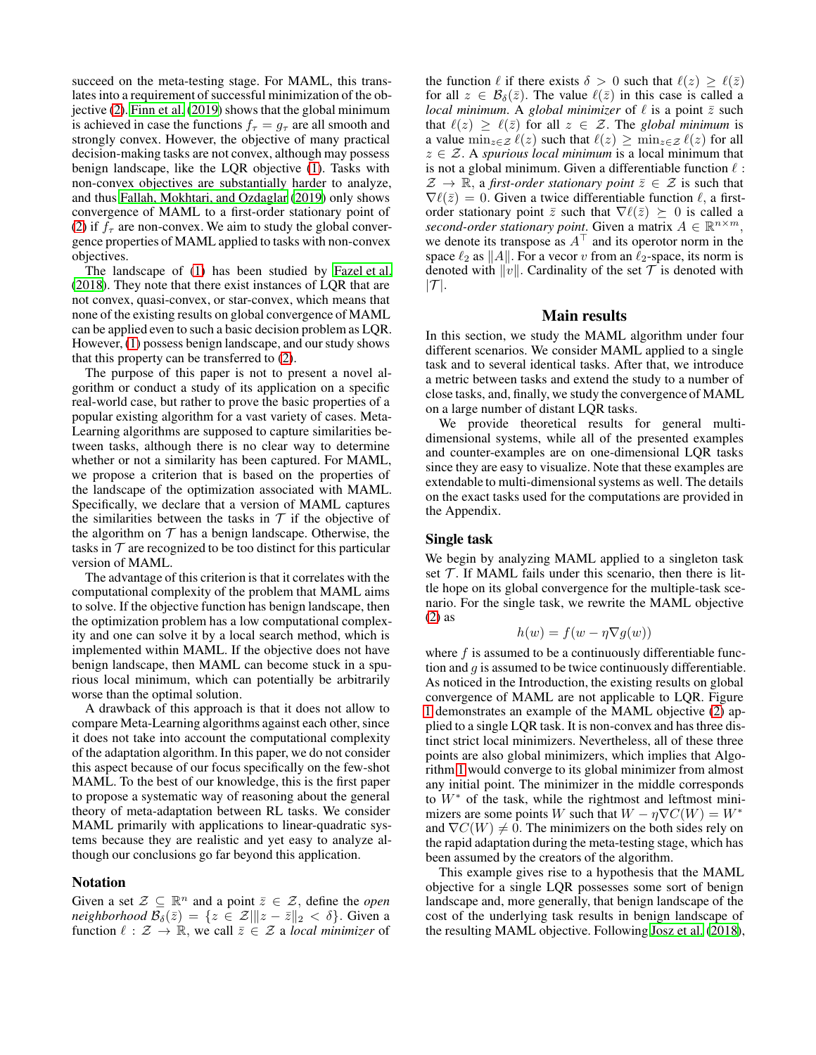succeed on the meta-testing stage. For MAML, this translates into a requirement of successful minimization of the objective [\(2\)](#page-1-1). [Finn et al.](#page-7-5) [\(2019\)](#page-7-5) shows that the global minimum is achieved in case the functions  $f_\tau = g_\tau$  are all smooth and strongly convex. However, the objective of many practical decision-making tasks are not convex, although may possess benign landscape, like the LQR objective [\(1\)](#page-1-2). Tasks with non-convex objectives are substantially harder to analyze, and thus [Fallah, Mokhtari, and Ozdaglar](#page-6-1) [\(2019\)](#page-6-1) only shows convergence of MAML to a first-order stationary point of [\(2\)](#page-1-1) if  $f_\tau$  are non-convex. We aim to study the global convergence properties of MAML applied to tasks with non-convex objectives.

The landscape of [\(1\)](#page-1-2) has been studied by [Fazel et al.](#page-7-2) [\(2018\)](#page-7-2). They note that there exist instances of LQR that are not convex, quasi-convex, or star-convex, which means that none of the existing results on global convergence of MAML can be applied even to such a basic decision problem as LQR. However, [\(1\)](#page-1-2) possess benign landscape, and our study shows that this property can be transferred to [\(2\)](#page-1-1).

The purpose of this paper is not to present a novel algorithm or conduct a study of its application on a specific real-world case, but rather to prove the basic properties of a popular existing algorithm for a vast variety of cases. Meta-Learning algorithms are supposed to capture similarities between tasks, although there is no clear way to determine whether or not a similarity has been captured. For MAML, we propose a criterion that is based on the properties of the landscape of the optimization associated with MAML. Specifically, we declare that a version of MAML captures the similarities between the tasks in  $T$  if the objective of the algorithm on  $T$  has a benign landscape. Otherwise, the tasks in  $\mathcal T$  are recognized to be too distinct for this particular version of MAML.

The advantage of this criterion is that it correlates with the computational complexity of the problem that MAML aims to solve. If the objective function has benign landscape, then the optimization problem has a low computational complexity and one can solve it by a local search method, which is implemented within MAML. If the objective does not have benign landscape, then MAML can become stuck in a spurious local minimum, which can potentially be arbitrarily worse than the optimal solution.

A drawback of this approach is that it does not allow to compare Meta-Learning algorithms against each other, since it does not take into account the computational complexity of the adaptation algorithm. In this paper, we do not consider this aspect because of our focus specifically on the few-shot MAML. To the best of our knowledge, this is the first paper to propose a systematic way of reasoning about the general theory of meta-adaptation between RL tasks. We consider MAML primarily with applications to linear-quadratic systems because they are realistic and yet easy to analyze although our conclusions go far beyond this application.

#### Notation

Given a set  $\mathcal{Z} \subseteq \mathbb{R}^n$  and a point  $\bar{z} \in \mathcal{Z}$ , define the *open neighborhood*  $\mathcal{B}_{\delta}(\bar{z}) = \{z \in \mathcal{Z} | ||z - \bar{z}||_2 < \delta \}$ . Given a function  $\ell : \mathcal{Z} \to \mathbb{R}$ , we call  $\bar{z} \in \mathcal{Z}$  a *local minimizer* of

the function  $\ell$  if there exists  $\delta > 0$  such that  $\ell(z) \geq \ell(\bar{z})$ for all  $z \in \mathcal{B}_{\delta}(\bar{z})$ . The value  $\ell(\bar{z})$  in this case is called a *local minimum.* A *global minimizer* of  $\ell$  is a point  $\bar{z}$  such that  $\ell(z) \geq \ell(\bar{z})$  for all  $z \in \mathcal{Z}$ . The *global minimum* is a value  $\min_{z \in \mathcal{Z}} \ell(z)$  such that  $\ell(z) \geq \min_{z \in \mathcal{Z}} \ell(z)$  for all  $z \in \mathcal{Z}$ . A *spurious local minimum* is a local minimum that is not a global minimum. Given a differentiable function  $\ell$ :  $\mathcal{Z} \to \mathbb{R}$ , a *first-order stationary point*  $\overline{z} \in \mathcal{Z}$  is such that  $\nabla \ell(\bar{z}) = 0$ . Given a twice differentiable function  $\ell$ , a firstorder stationary point  $\bar{z}$  such that  $\nabla \ell(\bar{z}) \succeq 0$  is called a *second-order stationary point.* Given a matrix  $A \in \mathbb{R}^{n \times m}$ , we denote its transpose as A<sup>⊤</sup> and its operotor norm in the space  $\ell_2$  as  $||A||$ . For a vecor v from an  $\ell_2$ -space, its norm is denoted with  $||v||$ . Cardinality of the set  $\mathcal T$  is denoted with  $|\mathcal{T}|$ .

### Main results

In this section, we study the MAML algorithm under four different scenarios. We consider MAML applied to a single task and to several identical tasks. After that, we introduce a metric between tasks and extend the study to a number of close tasks, and, finally, we study the convergence of MAML on a large number of distant LQR tasks.

We provide theoretical results for general multidimensional systems, while all of the presented examples and counter-examples are on one-dimensional LQR tasks since they are easy to visualize. Note that these examples are extendable to multi-dimensional systems as well. The details on the exact tasks used for the computations are provided in the Appendix.

### Single task

We begin by analyzing MAML applied to a singleton task set  $\mathcal T$ . If MAML fails under this scenario, then there is little hope on its global convergence for the multiple-task scenario. For the single task, we rewrite the MAML objective [\(2\)](#page-1-1) as

$$
h(w) = f(w - \eta \nabla g(w))
$$

where  $f$  is assumed to be a continuously differentiable function and  $q$  is assumed to be twice continuously differentiable. As noticed in the Introduction, the existing results on global convergence of MAML are not applicable to LQR. Figure [1](#page-3-0) demonstrates an example of the MAML objective [\(2\)](#page-1-1) applied to a single LQR task. It is non-convex and has three distinct strict local minimizers. Nevertheless, all of these three points are also global minimizers, which implies that Algorithm [1](#page-1-0) would converge to its global minimizer from almost any initial point. The minimizer in the middle corresponds to W<sup>∗</sup> of the task, while the rightmost and leftmost minimizers are some points W such that  $W - \eta \nabla C(W) = W^*$ and  $\nabla C(W) \neq 0$ . The minimizers on the both sides rely on the rapid adaptation during the meta-testing stage, which has been assumed by the creators of the algorithm.

This example gives rise to a hypothesis that the MAML objective for a single LQR possesses some sort of benign landscape and, more generally, that benign landscape of the cost of the underlying task results in benign landscape of the resulting MAML objective. Following [Josz et al.](#page-7-8) [\(2018\)](#page-7-8),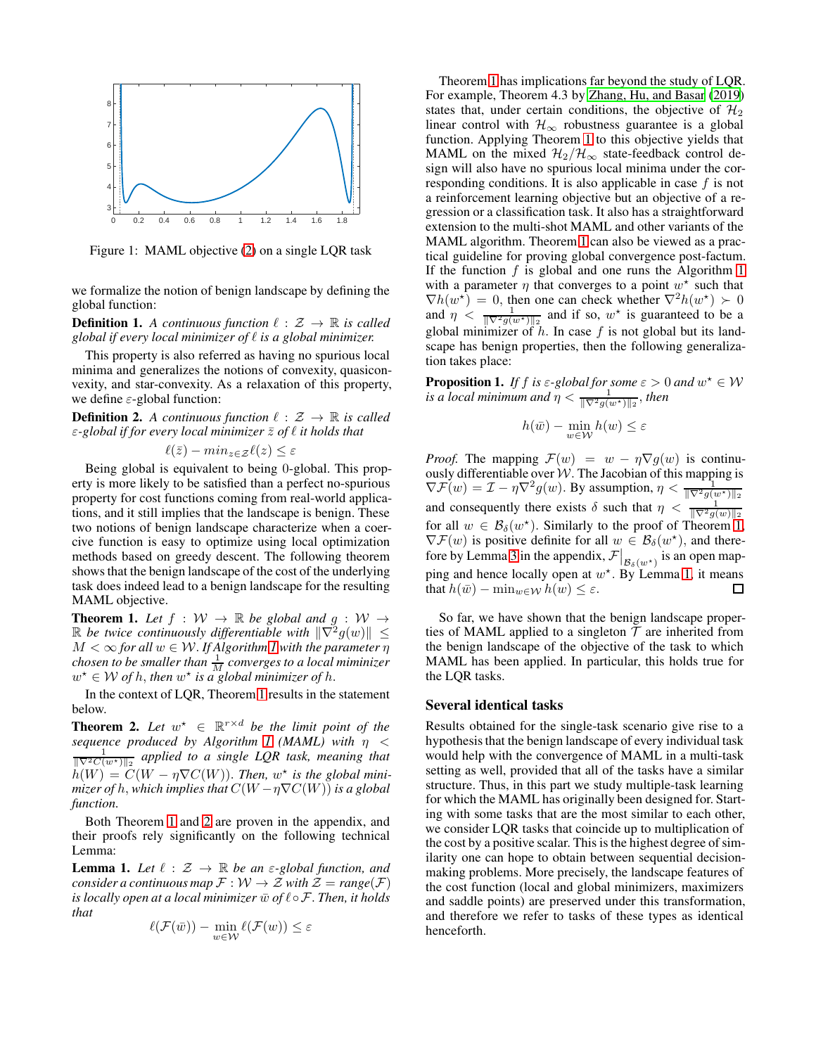<span id="page-3-0"></span>

Figure 1: MAML objective [\(2\)](#page-1-1) on a single LQR task

we formalize the notion of benign landscape by defining the global function:

**Definition 1.** A continuous function  $\ell : \mathcal{Z} \to \mathbb{R}$  is called *global if every local minimizer of* ℓ *is a global minimizer.*

This property is also referred as having no spurious local minima and generalizes the notions of convexity, quasiconvexity, and star-convexity. As a relaxation of this property, we define  $\varepsilon$ -global function:

**Definition 2.** A continuous function  $\ell : \mathcal{Z} \to \mathbb{R}$  is called ε*-global if for every local minimizer* z¯ *of* ℓ *it holds that*

$$
\ell(\bar{z}) - \min_{z \in \mathcal{Z}} \ell(z) \le \varepsilon
$$

Being global is equivalent to being 0-global. This property is more likely to be satisfied than a perfect no-spurious property for cost functions coming from real-world applications, and it still implies that the landscape is benign. These two notions of benign landscape characterize when a coercive function is easy to optimize using local optimization methods based on greedy descent. The following theorem shows that the benign landscape of the cost of the underlying task does indeed lead to a benign landscape for the resulting MAML objective.

<span id="page-3-1"></span>**Theorem 1.** Let  $f : W \to \mathbb{R}$  be global and  $g : W \to$  $\mathbb R$  be twice continuously differentiable with  $\|\nabla^2 g(w)\| \leq$  $M < \infty$  for all  $w \in W$ . If Algorithm [1](#page-1-0) with the parameter  $\eta$ *chosen to be smaller than*  $\frac{1}{M}$  *converges to a local miminizer*  $w^* \in \mathcal{W}$  of h, then  $w^*$  is a global minimizer of h.

In the context of LQR, Theorem [1](#page-3-1) results in the statement below.

<span id="page-3-2"></span>**Theorem 2.** Let  $w^* \in \mathbb{R}^{r \times d}$  be the limit point of the *sequence produced by Algorithm [1](#page-1-0) (MAML) with*  $\eta <$ <br> $\frac{1}{\|\nabla^2 C(w^*)\|_2}$  applied to a single LQR task, meaning that  $\hat{h}(W) = C(W - \eta \nabla C(W))$ . Then,  $w^*$  is the global mini*mizer of h, which implies that*  $C(W - \eta \nabla C(W))$  *is a global function.*

Both Theorem [1](#page-3-1) and [2](#page-3-2) are proven in the appendix, and their proofs rely significantly on the following technical Lemma:

<span id="page-3-3"></span>**Lemma 1.** Let  $\ell : \mathcal{Z} \to \mathbb{R}$  be an  $\varepsilon$ -global function, and *consider a continuous map*  $\mathcal{F}: \mathcal{W} \to \mathcal{Z}$  *with*  $\mathcal{Z} = \text{range}(\mathcal{F})$ *is locally open at a local minimizer*  $\bar{w}$  *of*  $\ell \circ \mathcal{F}$ *. Then, it holds that*

$$
\ell(\mathcal{F}(\bar{w})) - \min_{w \in \mathcal{W}} \ell(\mathcal{F}(w)) \le \varepsilon
$$

Theorem [1](#page-3-1) has implications far beyond the study of LQR. For example, Theorem 4.3 by [Zhang, Hu, and Basar \(2019\)](#page-7-9) states that, under certain conditions, the objective of  $\mathcal{H}_2$ linear control with  $\mathcal{H}_{\infty}$  robustness guarantee is a global function. Applying Theorem [1](#page-3-3) to this objective yields that MAML on the mixed  $\mathcal{H}_2/\mathcal{H}_{\infty}$  state-feedback control design will also have no spurious local minima under the corresponding conditions. It is also applicable in case  $f$  is not a reinforcement learning objective but an objective of a regression or a classification task. It also has a straightforward extension to the multi-shot MAML and other variants of the MAML algorithm. Theorem [1](#page-3-1) can also be viewed as a practical guideline for proving global convergence post-factum. If the function  $f$  is global and one runs the Algorithm [1](#page-1-0) with a parameter  $\eta$  that converges to a point  $w^*$  such that  $\nabla h(w^*) = 0$ , then one can check whether  $\nabla^2 h(w^*) \succ 0$ and  $\eta$  <  $\frac{1}{\|\nabla^2 g(w^*)\|_2}$  and if so,  $w^*$  is guaranteed to be a global minimizer of h. In case f is not global but its landscape has benign properties, then the following generalization takes place:

<span id="page-3-4"></span>**Proposition 1.** *If f is*  $\varepsilon$ -global for some  $\varepsilon > 0$  and  $w^* \in W$ is a local minimum and  $\eta < \frac{1}{\|\nabla^2 g(w^{\star})\|_2}$ , then

$$
h(\bar{w})-\min_{w\in\mathcal{W}}h(w)\leq\varepsilon
$$

*Proof.* The mapping  $\mathcal{F}(w) = w - \eta \nabla g(w)$  is continuously differentiable over  $W$ . The Jacobian of this mapping is  $\nabla \mathcal{F}(w) = \mathcal{I} - \eta \nabla^2 g(w)$ . By assumption,  $\eta < \frac{1}{\|\nabla^2 g(w^*)\|_2}$ and consequently there exists  $\delta$  such that  $\eta < \frac{1}{\|\nabla^2 g(w)\|_2}$ for all  $w \in \mathcal{B}_{\delta}(w^*)$ . Similarly to the proof of Theorem [1,](#page-3-1)  $\nabla \mathcal{F}(w)$  is positive definite for all  $w \in \mathcal{B}_{\delta}(w^*)$ , and there-fore by Lemma [3](#page-8-0) in the appendix,  $\mathcal{F}\big|_{\mathcal{B}_{\delta}(w^*)}$  is an open mapping and hence locally open at  $w^*$ . By Lemma [1,](#page-3-3) it means that  $h(\bar{w}) - \min_{w \in \mathcal{W}} h(w) \leq \varepsilon$ .  $\Box$ 

So far, we have shown that the benign landscape properties of MAML applied to a singleton  $\mathcal T$  are inherited from the benign landscape of the objective of the task to which MAML has been applied. In particular, this holds true for the LQR tasks.

#### Several identical tasks

Results obtained for the single-task scenario give rise to a hypothesis that the benign landscape of every individual task would help with the convergence of MAML in a multi-task setting as well, provided that all of the tasks have a similar structure. Thus, in this part we study multiple-task learning for which the MAML has originally been designed for. Starting with some tasks that are the most similar to each other, we consider LQR tasks that coincide up to multiplication of the cost by a positive scalar. This is the highest degree of similarity one can hope to obtain between sequential decisionmaking problems. More precisely, the landscape features of the cost function (local and global minimizers, maximizers and saddle points) are preserved under this transformation, and therefore we refer to tasks of these types as identical henceforth.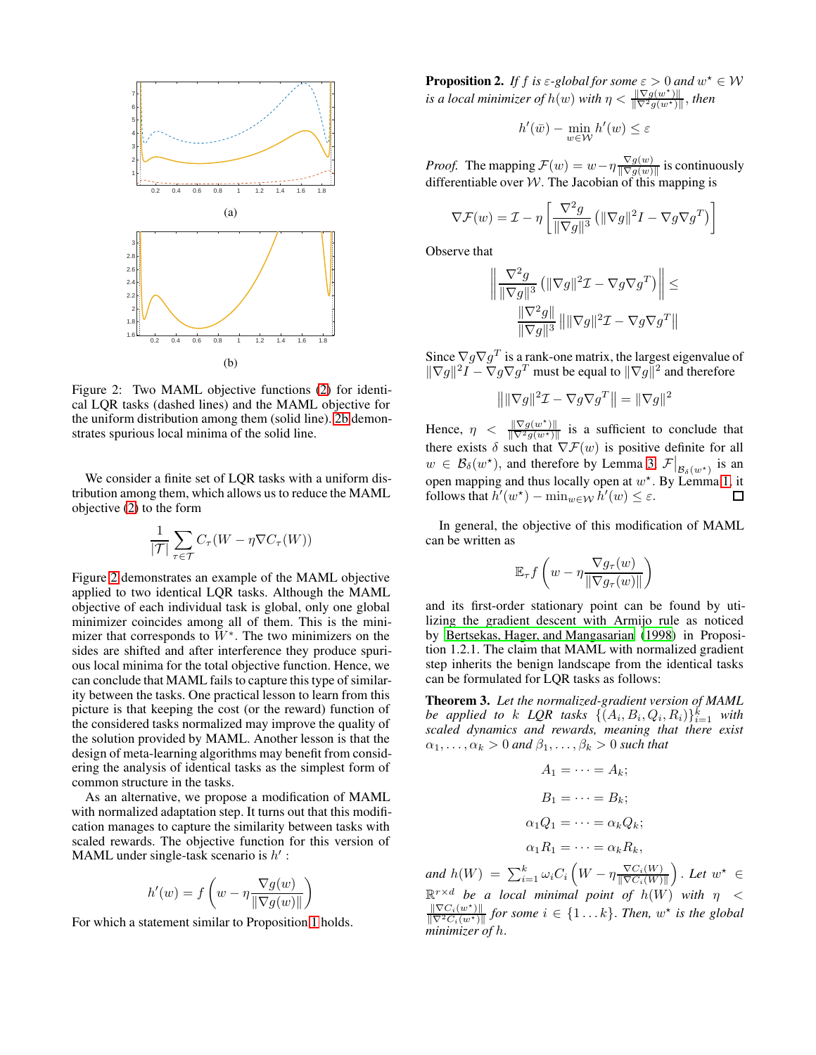<span id="page-4-0"></span>

Figure 2: Two MAML objective functions [\(2\)](#page-1-1) for identical LQR tasks (dashed lines) and the MAML objective for the uniform distribution among them (solid line). [2b](#page-4-0) demonstrates spurious local minima of the solid line.

We consider a finite set of LQR tasks with a uniform distribution among them, which allows us to reduce the MAML objective [\(2\)](#page-1-1) to the form

$$
\frac{1}{|\mathcal{T}|} \sum_{\tau \in \mathcal{T}} C_{\tau}(W - \eta \nabla C_{\tau}(W))
$$

Figure [2](#page-4-0) demonstrates an example of the MAML objective applied to two identical LQR tasks. Although the MAML objective of each individual task is global, only one global minimizer coincides among all of them. This is the minimizer that corresponds to  $W^*$ . The two minimizers on the sides are shifted and after interference they produce spurious local minima for the total objective function. Hence, we can conclude that MAML fails to capture this type of similarity between the tasks. One practical lesson to learn from this picture is that keeping the cost (or the reward) function of the considered tasks normalized may improve the quality of the solution provided by MAML. Another lesson is that the design of meta-learning algorithms may benefit from considering the analysis of identical tasks as the simplest form of common structure in the tasks.

As an alternative, we propose a modification of MAML with normalized adaptation step. It turns out that this modification manages to capture the similarity between tasks with scaled rewards. The objective function for this version of MAML under single-task scenario is  $h'$ :

$$
h'(w) = f\left(w - \eta \frac{\nabla g(w)}{\|\nabla g(w)\|}\right)
$$

For which a statement similar to Proposition [1](#page-3-4) holds.

<span id="page-4-1"></span>**Proposition 2.** If f is  $\varepsilon$ -global for some  $\varepsilon > 0$  and  $w^* \in W$ *is a local minimizer of*  $h(w)$  *with*  $\eta < \frac{\|\nabla g(w^*)\|}{\|\nabla^2 g(w^*)\|}$ , then

$$
h'(\bar{w}) - \min_{w \in \mathcal{W}} h'(w) \le \varepsilon
$$

*Proof.* The mapping  $\mathcal{F}(w) = w - \eta \frac{\nabla g(w)}{\nabla g(w)}$  $\frac{\sqrt{g(w)}}{\|\nabla g(w)\|}$  is continuously differentiable over  $W$ . The Jacobian of this mapping is

$$
\nabla \mathcal{F}(w) = \mathcal{I} - \eta \left[ \frac{\nabla^2 g}{\|\nabla g\|^3} \left( \|\nabla g\|^2 I - \nabla g \nabla g^T \right) \right]
$$

Observe that

$$
\frac{\left\|\frac{\nabla^2 g}{\|\nabla g\|^3} \left(\|\nabla g\|^2 \mathcal{I} - \nabla g \nabla g^T\right)\right\| \leq \frac{\|\nabla^2 g\|}{\|\nabla g\|^3} \|\|\nabla g\|^2 \mathcal{I} - \nabla g \nabla g^T\|
$$

Since  $\nabla g \nabla g^T$  is a rank-one matrix, the largest eigenvalue of  $\|\nabla g\|^2 I - \nabla g \nabla g^T$  must be equal to  $\|\nabla g\|^2$  and therefore

$$
\left\| \|\nabla g\|^2 \mathcal{I} - \nabla g \nabla g^T \right\| = \|\nabla g\|^2
$$

Hence,  $\eta \leq \frac{\|\nabla g(w^*)\|}{\|\nabla^2 g(w^*)\|}$  is a sufficient to conclude that there exists  $\delta$  such that  $\nabla \mathcal{F}(w)$  is positive definite for all  $w \in \mathcal{B}_{\delta}(w^*)$ , and therefore by Lemma [3,](#page-8-0)  $\mathcal{F}|_{\mathcal{B}_{\delta}(w^*)}$  is an open mapping and thus locally open at  $w^*$ . By Lemma [1,](#page-3-3) it follows that  $h'(w^*) - \min_{w \in \mathcal{W}} h'(w) \leq \varepsilon$ .

In general, the objective of this modification of MAML can be written as

$$
\mathbb{E}_{\tau} f\left(w - \eta \frac{\nabla g_{\tau}(w)}{\|\nabla g_{\tau}(w)\|}\right)
$$

and its first-order stationary point can be found by utilizing the gradient descent with Armijo rule as noticed by [Bertsekas, Hager, and Mangasarian \(1998](#page-6-2)) in Proposition 1.2.1. The claim that MAML with normalized gradient step inherits the benign landscape from the identical tasks can be formulated for LQR tasks as follows:

Theorem 3. *Let the normalized-gradient version of MAML be applied to k*  $LQR$  tasks  $\{ (A_i, B_i, Q_i, R_i) \}_{i=1}^k$  with *scaled dynamics and rewards, meaning that there exist*  $\alpha_1, \ldots, \alpha_k > 0$  and  $\beta_1, \ldots, \beta_k > 0$  such that

$$
A_1 = \dots = A_k;
$$
  
\n
$$
B_1 = \dots = B_k;
$$
  
\n
$$
\alpha_1 Q_1 = \dots = \alpha_k Q_k;
$$
  
\n
$$
\alpha_1 R_1 = \dots = \alpha_k R_k,
$$

and  $h(W) = \sum_{i=1}^k \omega_i C_i \left( W - \eta \frac{\nabla C_i(W)}{\|\nabla C_i(W)\|} \right)$  $\frac{\nabla C_i(W)}{\|\nabla C_i(W)\|}$ . Let  $w^* \in$  $\mathbb{R}^{r \times d}$  *be a local minimal point of h(W) with*  $\eta$  <  $\frac{\|\nabla C_i(w^*)\|}{\|\nabla^2 C_i(w^*)\|}$  for some  $i \in \{1 \dots k\}$ . *Then,*  $w^*$  is the global *minimizer of* h.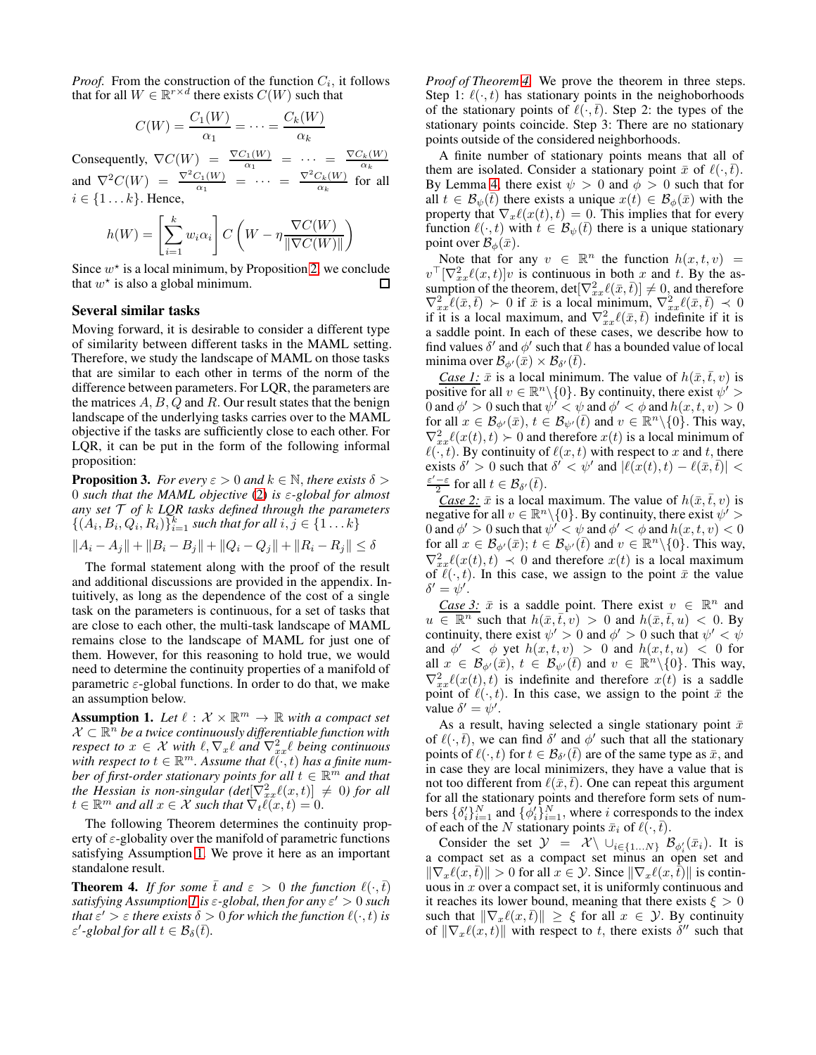*Proof.* From the construction of the function  $C_i$ , it follows that for all  $W \in \mathbb{R}^{r \times d}$  there exists  $C(W)$  such that

$$
C(W) = \frac{C_1(W)}{\alpha_1} = \dots = \frac{C_k(W)}{\alpha_k}
$$

Consequently,  $\nabla C(W) = \frac{\nabla C_1(W)}{\alpha_1} = \cdots = \frac{\nabla C_k(W)}{\alpha_k}$ and  $\nabla^2 C(W) = \frac{\nabla^2 C_1(W)}{\alpha_1} = \cdots = \frac{\nabla^2 C_k(W)}{\alpha_k}$  for  $\frac{\partial}{\partial k}$  for all  $i \in \{1 \dots k\}$ . Hence,

$$
h(W) = \left[\sum_{i=1}^{k} w_i \alpha_i\right] C \left(W - \eta \frac{\nabla C(W)}{\|\nabla C(W)\|}\right)
$$

Since  $w^*$  is a local minimum, by Proposition [2,](#page-4-1) we conclude that  $w^*$  is also a global minimum. □

#### Several similar tasks

Moving forward, it is desirable to consider a different type of similarity between different tasks in the MAML setting. Therefore, we study the landscape of MAML on those tasks that are similar to each other in terms of the norm of the difference between parameters. For LQR, the parameters are the matrices  $A, B, Q$  and  $R$ . Our result states that the benign landscape of the underlying tasks carries over to the MAML objective if the tasks are sufficiently close to each other. For LQR, it can be put in the form of the following informal proposition:

<span id="page-5-2"></span>**Proposition 3.** *For every*  $\varepsilon > 0$  *and*  $k \in \mathbb{N}$ *, there exists*  $\delta >$ 0 *such that the MAML objective* [\(2\)](#page-1-1) *is* ε*-global for almost any set* T *of* k *LQR tasks defined through the parameters*  $\{(A_i, B_i, Q_i, R_i)\}_{i=1}^k$  such that for all  $i, j \in \{1 \dots k\}$ 

$$
||A_i - A_j|| + ||B_i - B_j|| + ||Q_i - Q_j|| + ||R_i - R_j|| \le \delta
$$

The formal statement along with the proof of the result and additional discussions are provided in the appendix. Intuitively, as long as the dependence of the cost of a single task on the parameters is continuous, for a set of tasks that are close to each other, the multi-task landscape of MAML remains close to the landscape of MAML for just one of them. However, for this reasoning to hold true, we would need to determine the continuity properties of a manifold of parametric  $\varepsilon$ -global functions. In order to do that, we make an assumption below.

<span id="page-5-0"></span>**Assumption 1.** Let  $\ell : \mathcal{X} \times \mathbb{R}^m \to \mathbb{R}$  with a compact set  $\mathcal{X} \subset \mathbb{R}^{\tilde{n}}$  be a twice continuously differentiable function with *respect to*  $x \in \mathcal{X}$  *with*  $\ell, \nabla_x \ell$  *and*  $\nabla^2_{xx} \ell$  *being continuous* with respect to  $t \in \mathbb{R}^m$ . Assume that  $\ell(\cdot, t)$  has a finite num*ber of first-order stationary points for all*  $t \in \mathbb{R}^m$  *and that the Hessian is non-singular (det* $[\nabla_{xx}^2 \ell(x,t)] \neq 0$ ) for all  $t \in \mathbb{R}^m$  and all  $x \in \mathcal{X}$  such that  $\nabla_t \tilde{\ell}(x, t) = 0$ .

The following Theorem determines the continuity property of  $\varepsilon$ -globality over the manifold of parametric functions satisfying Assumption [1.](#page-5-0) We prove it here as an important standalone result.

<span id="page-5-1"></span>**Theorem 4.** *If for some*  $\bar{t}$  *and*  $\varepsilon > 0$  *the function*  $\ell(\cdot,\bar{t})$ *satisfying Assumption [1](#page-5-0) is* ε*-global, then for any* ε ′ > 0 *such that*  $\varepsilon' > \varepsilon$  *there exists*  $\delta > 0$  *for which the function*  $\ell(\cdot,t)$  *is*  $\varepsilon'$ -global for all  $t \in \mathcal{B}_{\delta}(\bar{t})$ .

*Proof of Theorem [4.](#page-5-1)* We prove the theorem in three steps. Step 1:  $\ell(\cdot, t)$  has stationary points in the neighoborhoods of the stationary points of  $\ell(\cdot,\bar{t})$ . Step 2: the types of the stationary points coincide. Step 3: There are no stationary points outside of the considered neighborhoods.

A finite number of stationary points means that all of them are isolated. Consider a stationary point  $\bar{x}$  of  $\ell(\cdot,\bar{t})$ . By Lemma [4,](#page-8-1) there exist  $\psi > 0$  and  $\phi > 0$  such that for all  $t \in \mathcal{B}_{\psi}(\bar{t})$  there exists a unique  $x(t) \in \mathcal{B}_{\phi}(\bar{x})$  with the property that  $\nabla_x \ell(x(t), t) = 0$ . This implies that for every function  $\ell(\cdot, t)$  with  $t \in \mathcal{B}_{\psi}(\bar{t})$  there is a unique stationary point over  $\mathcal{B}_{\phi}(\bar{x})$ .

Note that for any  $v \in \mathbb{R}^n$  the function  $h(x,t,v) =$  $v^{\top}[\nabla_{xx}^{2}\ell(x,t)]v$  is continuous in both x and t. By the assumption of the theorem,  $det[\nabla_{xx}^2 \ell(\bar{x}, \bar{t})] \neq 0$ , and therefore  $\nabla_{xx}^2 \ell(\bar{x}, \bar{t}) \succ 0$  if  $\bar{x}$  is a local minimum,  $\nabla_{xx}^2 \ell(\bar{x}, \bar{t}) \prec 0$ if it is a local maximum, and  $\nabla_{xx}^2 \ell(\bar{x}, \bar{t})$  indefinite if it is a saddle point. In each of these cases, we describe how to find values  $\delta'$  and  $\phi'$  such that  $\ell$  has a bounded value of local minima over  $\mathcal{B}_{\phi'}(\bar{x})\times\mathcal{B}_{\delta'}(\bar{t})$ .

*Case 1:*  $\bar{x}$  is a local minimum. The value of  $h(\bar{x}, \bar{t}, v)$  is positive for all  $v \in \mathbb{R}^n \setminus \{0\}$ . By continuity, there exist  $\psi' >$ 0 and  $\phi' > 0$  such that  $\psi' < \psi$  and  $\phi' < \phi$  and  $h(x, t, v) > 0$ for all  $x \in \mathcal{B}_{\phi'}(\bar{x}), t \in \mathcal{B}_{\psi'}(\bar{t})$  and  $v \in \mathbb{R}^n \backslash \{0\}$ . This way,  $\nabla_{xx}^2 \ell(x(t), t) \succ 0$  and therefore  $x(t)$  is a local minimum of  $\ell(\cdot, t)$ . By continuity of  $\ell(x, t)$  with respect to x and t, there exists  $\delta' > 0$  such that  $\delta' < \psi'$  and  $|\ell(x(t), t) - \ell(\bar{x}, \bar{t})|$  $\frac{\varepsilon'-\varepsilon}{2}$  for all  $t \in \mathcal{B}_{\delta'}(\bar{t}).$ 

*Case 2:*  $\bar{x}$  is a local maximum. The value of  $h(\bar{x}, \bar{t}, v)$  is negative for all  $v \in \mathbb{R}^n \setminus \{0\}$ . By continuity, there exist  $\psi' >$ 0 and  $\phi' > 0$  such that  $\psi' < \psi$  and  $\phi' < \phi$  and  $h(x, t, v) < 0$ for all  $x \in \mathcal{B}_{\phi'}(\bar{x});$   $t \in \mathcal{B}_{\psi'}(\bar{t})$  and  $v \in \mathbb{R}^n \backslash \{0\}$ . This way,  $\nabla_{xx}^2 \ell(x(t), t) \prec 0$  and therefore  $x(t)$  is a local maximum of  $\ell(\cdot, t)$ . In this case, we assign to the point  $\bar{x}$  the value  $\delta' = \psi'.$ 

*Case 3:*  $\bar{x}$  is a saddle point. There exist  $v \in \mathbb{R}^n$  and  $u \in \mathbb{R}^n$  such that  $h(\bar{x}, \bar{t}, v) > 0$  and  $h(\bar{x}, \bar{t}, u) < 0$ . By continuity, there exist  $\psi' > 0$  and  $\phi' > 0$  such that  $\psi' < \psi$ and  $\phi' < \phi$  yet  $h(x, t, v) > 0$  and  $h(x, t, u) < 0$  for all  $x \in \mathcal{B}_{\phi}(\bar{x}), t \in \mathcal{B}_{\psi'}(\bar{t})$  and  $v \in \mathbb{R}^n \backslash \{0\}$ . This way,  $\nabla_{xx}^2 \ell(x(t),t)$  is indefinite and therefore  $x(t)$  is a saddle point of  $\ell(\cdot, t)$ . In this case, we assign to the point  $\bar{x}$  the value  $\delta' = \psi'.$ 

As a result, having selected a single stationary point  $\bar{x}$ of  $\ell(\cdot, \bar{t})$ , we can find  $\delta'$  and  $\phi'$  such that all the stationary points of  $\ell(\cdot, t)$  for  $t \in \mathcal{B}_{\delta'}(\bar{t})$  are of the same type as  $\bar{x}$ , and in case they are local minimizers, they have a value that is not too different from  $\ell(\bar{x},\bar{t})$ . One can repeat this argument for all the stationary points and therefore form sets of numbers  $\{\delta_i'\}_{i=1}^N$  and  $\{\phi_i'\}_{i=1}^N$ , where i corresponds to the index of each of the N stationary points  $\bar{x}_i$  of  $\ell(\cdot,\bar{t})$ .

Consider the set  $\mathcal{Y} = \mathcal{X} \setminus \cup_{i \in \{1...N\}} \mathcal{B}_{\phi_i'}(\bar{x}_i)$ . It is a compact set as a compact set minus an open set and  $\|\nabla_x \ell(x,\bar{t})\| > 0$  for all  $x \in \mathcal{Y}$ . Since  $\|\nabla_x \ell(x,\bar{t})\|$  is continuous in  $x$  over a compact set, it is uniformly continuous and it reaches its lower bound, meaning that there exists  $\xi > 0$ such that  $\|\nabla_x \ell(x,\overline{t})\| \geq \xi$  for all  $x \in \mathcal{Y}$ . By continuity of  $\|\nabla_x \ell(x,t)\|$  with respect to t, there exists  $\delta''$  such that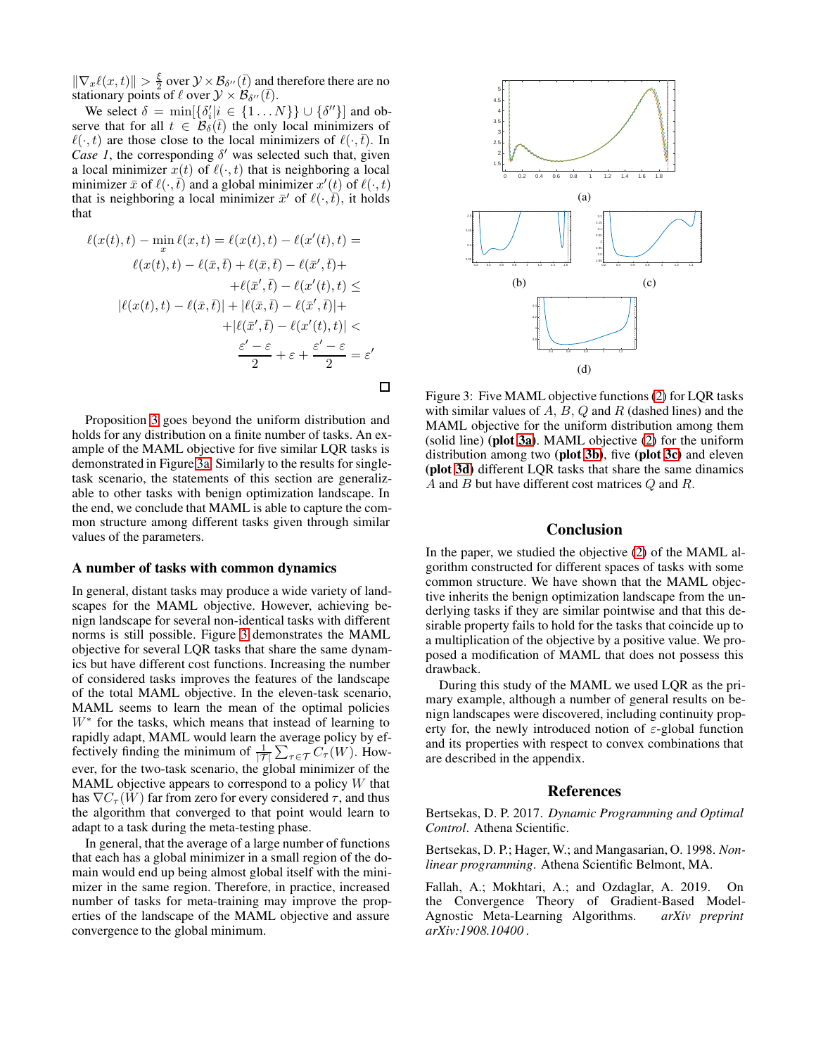$\|\nabla_x \ell(x,t)\| > \frac{\xi}{2}$  $\frac{\xi}{2}$  over  $\mathcal{Y} \times \mathcal{B}_{\delta''}(\overline{t})$  and therefore there are no stationary points of  $\ell$  over  $\mathcal{Y} \times \mathcal{B}_{\delta''}(\bar{t})$ .

We select  $\delta = \min[\{\delta'_i | i \in \{1 \dots N\}\} \cup \{\delta''\}]$  and observe that for all  $t \in \mathcal{B}_{\delta}(\bar{t})$  the only local minimizers of  $\ell(\cdot, t)$  are those close to the local minimizers of  $\ell(\cdot, t)$ . In *Case 1*, the corresponding  $\delta'$  was selected such that, given a local minimizer  $x(t)$  of  $\ell(\cdot, t)$  that is neighboring a local minimizer  $\bar{x}$  of  $\ell(\cdot, \bar{t})$  and a global minimizer  $x'(t)$  of  $\ell(\cdot, t)$ that is neighboring a local minimizer  $\bar{x}'$  of  $\ell(\cdot, \bar{t})$ , it holds that

$$
\ell(x(t),t) - \min_x \ell(x,t) = \ell(x(t),t) - \ell(x'(t),t) =
$$
  

$$
\ell(x(t),t) - \ell(\bar{x},\bar{t}) + \ell(\bar{x},\bar{t}) - \ell(\bar{x}',\bar{t}) +
$$
  

$$
+ \ell(\bar{x}',\bar{t}) - \ell(x'(t),t) \le
$$
  

$$
|\ell(x(t),t) - \ell(\bar{x},\bar{t})| + |\ell(\bar{x},\bar{t}) - \ell(\bar{x}',\bar{t})| +
$$
  

$$
+ |\ell(\bar{x}',\bar{t}) - \ell(x'(t),t)| <
$$
  

$$
\frac{\varepsilon' - \varepsilon}{2} + \varepsilon + \frac{\varepsilon' - \varepsilon}{2} = \varepsilon'
$$

 $\Box$ 

Proposition [3](#page-5-2) goes beyond the uniform distribution and holds for any distribution on a finite number of tasks. An example of the MAML objective for five similar LQR tasks is demonstrated in Figure [3a.](#page-6-3) Similarly to the results for singletask scenario, the statements of this section are generalizable to other tasks with benign optimization landscape. In the end, we conclude that MAML is able to capture the common structure among different tasks given through similar values of the parameters.

#### A number of tasks with common dynamics

In general, distant tasks may produce a wide variety of landscapes for the MAML objective. However, achieving benign landscape for several non-identical tasks with different norms is still possible. Figure [3](#page-6-3) demonstrates the MAML objective for several LQR tasks that share the same dynamics but have different cost functions. Increasing the number of considered tasks improves the features of the landscape of the total MAML objective. In the eleven-task scenario, MAML seems to learn the mean of the optimal policies W<sup>∗</sup> for the tasks, which means that instead of learning to rapidly adapt, MAML would learn the average policy by effectively finding the minimum of  $\frac{1}{|T|} \sum_{\tau \in \mathcal{T}} C_{\tau}(W)$ . However, for the two-task scenario, the global minimizer of the MAML objective appears to correspond to a policy  $W$  that has  $\nabla C_{\tau}(W)$  far from zero for every considered  $\tau$ , and thus the algorithm that converged to that point would learn to adapt to a task during the meta-testing phase.

In general, that the average of a large number of functions that each has a global minimizer in a small region of the domain would end up being almost global itself with the minimizer in the same region. Therefore, in practice, increased number of tasks for meta-training may improve the properties of the landscape of the MAML objective and assure convergence to the global minimum.

<span id="page-6-3"></span>

Figure 3: Five MAML objective functions [\(2\)](#page-1-1) for LQR tasks with similar values of  $A, B, Q$  and  $R$  (dashed lines) and the MAML objective for the uniform distribution among them (solid line) (plot [3a\)](#page-6-3). MAML objective [\(2\)](#page-1-1) for the uniform distribution among two (plot [3b\)](#page-6-3), five (plot [3c\)](#page-6-3) and eleven (plot [3d\)](#page-6-3) different LQR tasks that share the same dinamics A and B but have different cost matrices  $Q$  and  $R$ .

### Conclusion

In the paper, we studied the objective [\(2\)](#page-1-1) of the MAML algorithm constructed for different spaces of tasks with some common structure. We have shown that the MAML objective inherits the benign optimization landscape from the underlying tasks if they are similar pointwise and that this desirable property fails to hold for the tasks that coincide up to a multiplication of the objective by a positive value. We proposed a modification of MAML that does not possess this drawback.

During this study of the MAML we used LQR as the primary example, although a number of general results on benign landscapes were discovered, including continuity property for, the newly introduced notion of  $\varepsilon$ -global function and its properties with respect to convex combinations that are described in the appendix.

### **References**

<span id="page-6-0"></span>Bertsekas, D. P. 2017. *Dynamic Programming and Optimal Control*. Athena Scientific.

<span id="page-6-2"></span>Bertsekas, D. P.; Hager, W.; and Mangasarian, O. 1998. *Nonlinear programming*. Athena Scientific Belmont, MA.

<span id="page-6-1"></span>Fallah, A.; Mokhtari, A.; and Ozdaglar, A. 2019. On the Convergence Theory of Gradient-Based Model-Agnostic Meta-Learning Algorithms. *arXiv preprint arXiv:1908.10400* .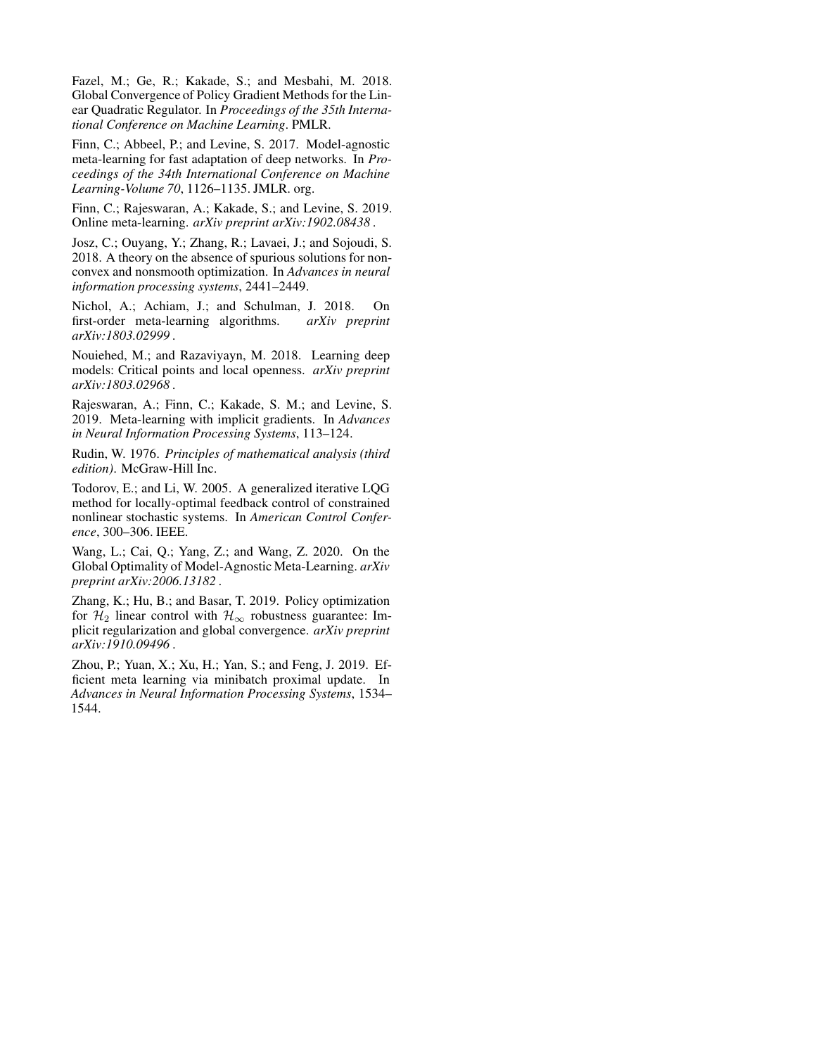<span id="page-7-2"></span>Fazel, M.; Ge, R.; Kakade, S.; and Mesbahi, M. 2018. Global Convergence of Policy Gradient Methods for the Linear Quadratic Regulator. In *Proceedings of the 35th International Conference on Machine Learning*. PMLR.

<span id="page-7-0"></span>Finn, C.; Abbeel, P.; and Levine, S. 2017. Model-agnostic meta-learning for fast adaptation of deep networks. In *Proceedings of the 34th International Conference on Machine Learning-Volume 70*, 1126–1135. JMLR. org.

<span id="page-7-5"></span>Finn, C.; Rajeswaran, A.; Kakade, S.; and Levine, S. 2019. Online meta-learning. *arXiv preprint arXiv:1902.08438* .

<span id="page-7-8"></span>Josz, C.; Ouyang, Y.; Zhang, R.; Lavaei, J.; and Sojoudi, S. 2018. A theory on the absence of spurious solutions for nonconvex and nonsmooth optimization. In *Advances in neural information processing systems*, 2441–2449.

<span id="page-7-4"></span>Nichol, A.; Achiam, J.; and Schulman, J. 2018. On first-order meta-learning algorithms. *arXiv preprint arXiv:1803.02999* .

<span id="page-7-10"></span>Nouiehed, M.; and Razaviyayn, M. 2018. Learning deep models: Critical points and local openness. *arXiv preprint arXiv:1803.02968* .

<span id="page-7-3"></span>Rajeswaran, A.; Finn, C.; Kakade, S. M.; and Levine, S. 2019. Meta-learning with implicit gradients. In *Advances in Neural Information Processing Systems*, 113–124.

<span id="page-7-11"></span>Rudin, W. 1976. *Principles of mathematical analysis (third edition)*. McGraw-Hill Inc.

<span id="page-7-1"></span>Todorov, E.; and Li, W. 2005. A generalized iterative LQG method for locally-optimal feedback control of constrained nonlinear stochastic systems. In *American Control Conference*, 300–306. IEEE.

<span id="page-7-7"></span>Wang, L.; Cai, Q.; Yang, Z.; and Wang, Z. 2020. On the Global Optimality of Model-Agnostic Meta-Learning. *arXiv preprint arXiv:2006.13182* .

<span id="page-7-9"></span>Zhang, K.; Hu, B.; and Basar, T. 2019. Policy optimization for  $\mathcal{H}_2$  linear control with  $\mathcal{H}_{\infty}$  robustness guarantee: Implicit regularization and global convergence. *arXiv preprint arXiv:1910.09496* .

<span id="page-7-6"></span>Zhou, P.; Yuan, X.; Xu, H.; Yan, S.; and Feng, J. 2019. Efficient meta learning via minibatch proximal update. In *Advances in Neural Information Processing Systems*, 1534– 1544.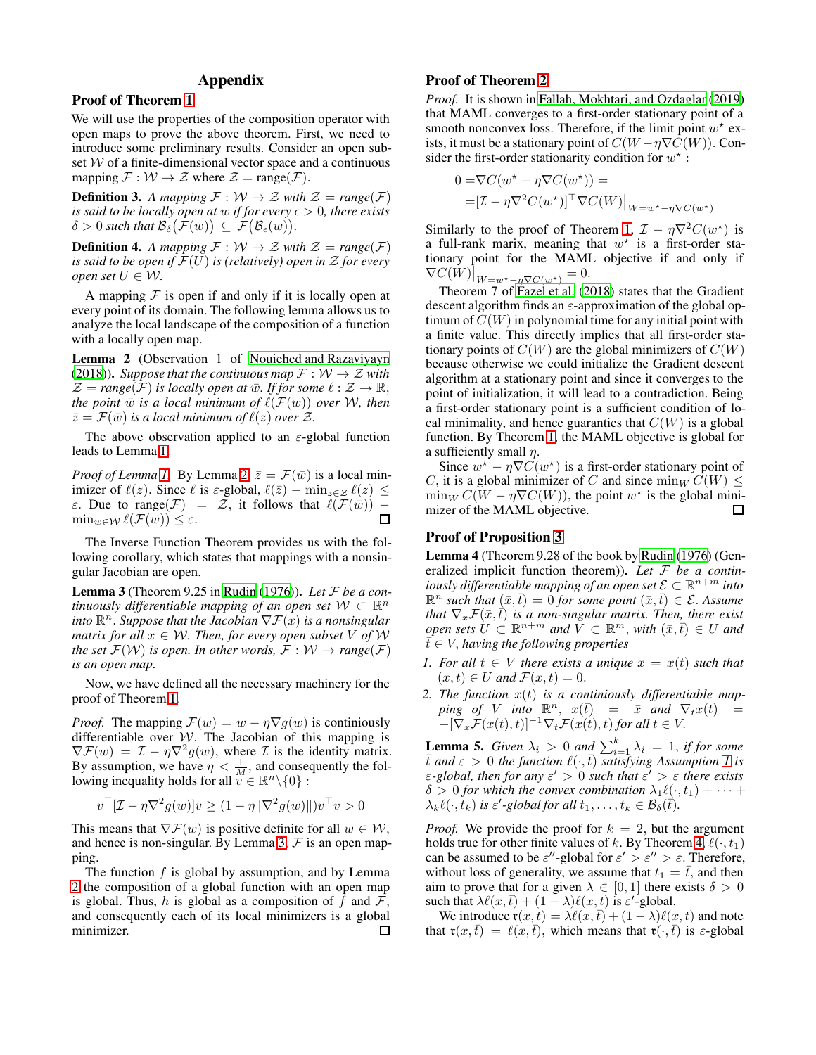# Appendix

### Proof of Theorem [1](#page-3-1)

We will use the properties of the composition operator with open maps to prove the above theorem. First, we need to introduce some preliminary results. Consider an open subset  $W$  of a finite-dimensional vector space and a continuous mapping  $\mathcal{F}: \mathcal{W} \to \mathcal{Z}$  where  $\mathcal{Z} = \text{range}(\mathcal{F})$ .

**Definition 3.** A mapping  $\mathcal{F}: \mathcal{W} \to \mathcal{Z}$  with  $\mathcal{Z} = \text{range}(\mathcal{F})$ *is said to be locally open at w if for every*  $\epsilon > 0$ *, there exists*  $\delta > 0$  such that  $\mathcal{B}_{\delta}(\mathcal{F}(w)) \subseteq \mathcal{F}(\mathcal{B}_{\epsilon}(w)).$ 

**Definition 4.** *A mapping*  $\mathcal{F}: \mathcal{W} \to \mathcal{Z}$  *with*  $\mathcal{Z} = \text{range}(\mathcal{F})$ *is said to be open if*  $\mathcal{F}(U)$  *is (relatively) open in*  $\mathcal Z$  *for every open set*  $U \in W$ .

A mapping  $F$  is open if and only if it is locally open at every point of its domain. The following lemma allows us to analyze the local landscape of the composition of a function with a locally open map.

<span id="page-8-2"></span>Lemma 2 (Observation 1 of [Nouiehed and Razaviyayn](#page-7-10) [\(2018\)](#page-7-10)). *Suppose that the continuous map*  $\mathcal{F}: W \to \mathcal{Z}$  *with*  $\mathcal{Z} = \text{range}(\mathcal{F})$  *is locally open at*  $\bar{w}$ *. If for some*  $\ell : \mathcal{Z} \to \mathbb{R}$ *, the point*  $\bar{w}$  *is a local minimum of*  $\ell(\mathcal{F}(w))$  *over W, then*  $\bar{z} = \mathcal{F}(\bar{w})$  *is a local minimum of*  $\ell(z)$  *over*  $\mathcal{Z}$ *.* 

The above observation applied to an  $\varepsilon$ -global function leads to Lemma [1.](#page-3-3)

*Proof of Lemma [1.](#page-3-3)* By Lemma [2,](#page-8-2)  $\bar{z} = \mathcal{F}(\bar{w})$  is a local minimizer of  $\ell(z)$ . Since  $\ell$  is  $\varepsilon$ -global,  $\ell(\bar{z}) - \min_{z \in \mathcal{Z}} \ell(z) \leq$ ε. Due to range(*F*) =  $\overline{z}$ , it follows that  $\ell(\overline{F}(\overline{w}))$  − min  $\epsilon_{\mathcal{W}}$  ( $\overline{F}(w)$ ) <  $\epsilon$  $\min_{w \in \mathcal{W}} \ell(\mathcal{F}(w)) \leq \varepsilon.$ 

The Inverse Function Theorem provides us with the following corollary, which states that mappings with a nonsingular Jacobian are open.

<span id="page-8-0"></span>Lemma 3 (Theorem 9.25 in [Rudin \(1976\)](#page-7-11)). *Let* F *be a con*tinuously differentiable mapping of an open set  $W \subset \mathbb{R}^n$  $\hat{C}$  and  $\mathbb{R}^n$  . Suppose that the Jacobian  $\nabla \mathcal{F}(x)$  is a nonsingular *matrix for all*  $x \in W$ *. Then, for every open subset* V of W *the set*  $\mathcal{F}(W)$  *is open. In other words,*  $\mathcal{F}: W \rightarrow range(\mathcal{F})$ *is an open map.*

Now, we have defined all the necessary machinery for the proof of Theorem [1.](#page-3-1)

*Proof.* The mapping  $\mathcal{F}(w) = w - \eta \nabla g(w)$  is continuously differentiable over  $W$ . The Jacobian of this mapping is  $\nabla \mathcal{F}(w) = \mathcal{I} - \eta \nabla^2 g(w)$ , where  $\mathcal I$  is the identity matrix. By assumption, we have  $\eta < \frac{1}{M}$ , and consequently the following inequality holds for all  $v \in \mathbb{R}^n \setminus \{0\}$ :

$$
v^\top [\mathcal{I} - \eta \nabla^2 g(w)] v \ge (1 - \eta \|\nabla^2 g(w)\|) v^\top v > 0
$$

This means that  $\nabla \mathcal{F}(w)$  is positive definite for all  $w \in \mathcal{W}$ , and hence is non-singular. By Lemma [3,](#page-8-0)  $\mathcal F$  is an open mapping.

The function  $f$  is global by assumption, and by Lemma [2](#page-8-2) the composition of a global function with an open map is global. Thus, h is global as a composition of f and  $\mathcal{F}$ , and consequently each of its local minimizers is a global minimizer. 口

## Proof of Theorem [2](#page-3-2)

*Proof.* It is shown in [Fallah, Mokhtari, and Ozdaglar \(2019\)](#page-6-1) that MAML converges to a first-order stationary point of a smooth nonconvex loss. Therefore, if the limit point  $w^*$  exists, it must be a stationary point of  $C(W - \eta \nabla C(W))$ . Consider the first-order stationarity condition for  $w^*$ :

$$
0 = \nabla C(w^* - \eta \nabla C(w^*)) =
$$
  
= 
$$
[\mathcal{I} - \eta \nabla^2 C(w^*)]^\top \nabla C(W)|_{W=w^* - \eta \nabla C(w^*)}
$$

Similarly to the proof of Theorem [1,](#page-3-1)  $\mathcal{I} - \eta \nabla^2 C(w^*)$  is a full-rank marix, meaning that  $w^*$  is a first-order stationary point for the MAML objective if and only if  $\nabla C(W)\big|_{W=w^*-\eta\nabla C(w^*)}=0.$ 

Theorem 7 of [Fazel et al. \(2018\)](#page-7-2) states that the Gradient descent algorithm finds an  $\varepsilon$ -approximation of the global optimum of  $C(W)$  in polynomial time for any initial point with a finite value. This directly implies that all first-order stationary points of  $C(W)$  are the global minimizers of  $C(W)$ because otherwise we could initialize the Gradient descent algorithm at a stationary point and since it converges to the point of initialization, it will lead to a contradiction. Being a first-order stationary point is a sufficient condition of local minimality, and hence guaranties that  $C(W)$  is a global function. By Theorem [1,](#page-3-1) the MAML objective is global for a sufficiently small  $\eta$ .

Since  $w^* - \eta \nabla C(w^*)$  is a first-order stationary point of C, it is a global minimizer of C and since  $\min_W C(W)$  <  $\min_W C(W - \eta \nabla C(W))$ , the point  $w^*$  is the global minimizer of the MAML objective. □

### Proof of Proposition [3](#page-5-2)

<span id="page-8-1"></span>Lemma 4 (Theorem 9.28 of the book by [Rudin \(1976](#page-7-11)) (Generalized implicit function theorem)). *Let* F *be a continiously differentiable mapping of an open set*  $\mathcal{E} \subset \mathbb{R}^{n+m}$  *into*  $\mathbb{R}^n$  *such that*  $(\bar{x}, \bar{t}) = 0$  *for some point*  $(\bar{x}, \bar{t}) \in \mathcal{E}$ . Assume *that*  $\nabla_x \mathcal{F}(\bar{x},\bar{t})$  *is a non-singular matrix. Then, there exist*  $open\; sets\; \dot U \subset \mathbb{R}^{n+m}\; and\; \ddot V \subset \mathbb{R}^m, \, with\; (\bar x,\bar t)\in U\; and$  $\bar{t} \in V$ , *having the following properties* 

- *1. For all*  $t \in V$  *there exists a unique*  $x = x(t)$  *such that*  $(x, t) \in U$  and  $\mathcal{F}(x, t) = 0$ .
- *2. The function* x(t) *is a continiously differentiable map-* $\frac{p}{m}$  of V into  $\mathbb{R}^n$ ,  $x(\bar{t}) = \bar{x}$  *and*  $\nabla_t x(t) =$  $[-[\nabla_x \mathcal{F}(x(t), t)]^{-1} \nabla_t \mathcal{F}(x(t), t)$  for all  $t \in V$ .

<span id="page-8-3"></span>**Lemma 5.** *Given*  $\lambda_i > 0$  *and*  $\sum_{i=1}^{k} \lambda_i = 1$ , *if for some*  $\overline{t}$  *and*  $\varepsilon > 0$  *the function*  $\ell(\cdot,\overline{t})$  *satisfying* Assumption [1](#page-5-0) is ε*-global, then for any* ε ′ > 0 *such that* ε ′ > ε *there exists*  $\delta > 0$  for which the convex combination  $\lambda_1 \ell(\cdot, t_1) + \cdots$  $\lambda_k \ell(\cdot, t_k)$  is  $\varepsilon'$ -global for all  $t_1, \ldots, t_k \in \mathcal{B}_\delta(\vec{t}).$ 

*Proof.* We provide the proof for  $k = 2$ , but the argument holds true for other finite values of k. By Theorem [4,](#page-5-1)  $\ell(\cdot, t_1)$ can be assumed to be  $\varepsilon''$ -global for  $\varepsilon' > \varepsilon'' > \varepsilon$ . Therefore, without loss of generality, we assume that  $t_1 = \overline{t}$ , and then aim to prove that for a given  $\lambda \in [0,1]$  there exists  $\delta > 0$ such that  $\lambda \ell(x, \bar{t}) + (1 - \lambda)\ell(x, t)$  is  $\varepsilon'$ -global.

We introduce  $\mathfrak{r}(x,t) = \lambda \ell(x,\bar{t}) + (1-\lambda)\ell(x,t)$  and note that  $\mathfrak{r}(x,\bar{t}) = \ell(x,\bar{t})$ , which means that  $\mathfrak{r}(\cdot,\bar{t})$  is  $\varepsilon$ -global